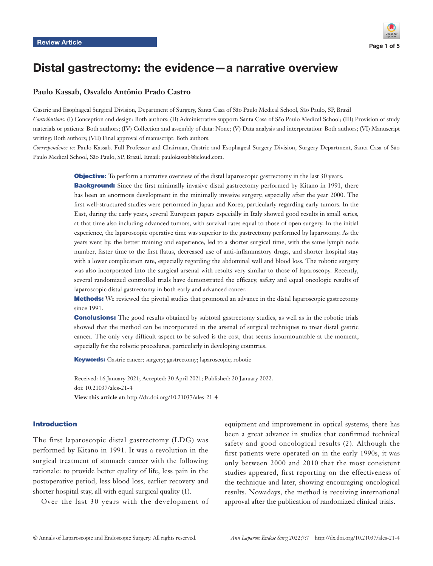

# Distal gastrectomy: the evidence—a narrative overview

# **Paulo Kassab, Osvaldo Antônio Prado Castro**

Gastric and Esophageal Surgical Division, Department of Surgery, Santa Casa of São Paulo Medical School, São Paulo, SP, Brazil *Contributions:* (I) Conception and design: Both authors; (II) Administrative support: Santa Casa of São Paulo Medical School; (III) Provision of study materials or patients: Both authors; (IV) Collection and assembly of data: None; (V) Data analysis and interpretation: Both authors; (VI) Manuscript writing: Both authors; (VII) Final approval of manuscript: Both authors.

*Correspondence to:* Paulo Kassab. Full Professor and Chairman, Gastric and Esophageal Surgery Division, Surgery Department, Santa Casa of São Paulo Medical School, São Paulo, SP, Brazil. Email: paulokassab@icloud.com.

> **Objective:** To perform a narrative overview of the distal laparoscopic gastrectomy in the last 30 years. **Background:** Since the first minimally invasive distal gastrectomy performed by Kitano in 1991, there has been an enormous development in the minimally invasive surgery, especially after the year 2000. The first well-structured studies were performed in Japan and Korea, particularly regarding early tumors. In the East, during the early years, several European papers especially in Italy showed good results in small series, at that time also including advanced tumors, with survival rates equal to those of open surgery. In the initial experience, the laparoscopic operative time was superior to the gastrectomy performed by laparotomy. As the years went by, the better training and experience, led to a shorter surgical time, with the same lymph node number, faster time to the first flatus, decreased use of anti-inflammatory drugs, and shorter hospital stay with a lower complication rate, especially regarding the abdominal wall and blood loss. The robotic surgery was also incorporated into the surgical arsenal with results very similar to those of laparoscopy. Recently, several randomized controlled trials have demonstrated the efficacy, safety and equal oncologic results of laparoscopic distal gastrectomy in both early and advanced cancer.

> **Methods:** We reviewed the pivotal studies that promoted an advance in the distal laparoscopic gastrectomy since 1991.

> **Conclusions:** The good results obtained by subtotal gastrectomy studies, as well as in the robotic trials showed that the method can be incorporated in the arsenal of surgical techniques to treat distal gastric cancer. The only very difficult aspect to be solved is the cost, that seems insurmountable at the moment, especially for the robotic procedures, particularly in developing countries.

Keywords: Gastric cancer; surgery; gastrectomy; laparoscopic; robotic

Received: 16 January 2021; Accepted: 30 April 2021; Published: 20 January 2022. doi: 10.21037/ales-21-4 **View this article at:** http://dx.doi.org/10.21037/ales-21-4

# Introduction

The first laparoscopic distal gastrectomy (LDG) was performed by Kitano in 1991. It was a revolution in the surgical treatment of stomach cancer with the following rationale: to provide better quality of life, less pain in the postoperative period, less blood loss, earlier recovery and shorter hospital stay, all with equal surgical quality (1).

Over the last 30 years with the development of

equipment and improvement in optical systems, there has been a great advance in studies that confirmed technical safety and good oncological results (2). Although the first patients were operated on in the early 1990s, it was only between 2000 and 2010 that the most consistent studies appeared, first reporting on the effectiveness of the technique and later, showing encouraging oncological results. Nowadays, the method is receiving international approval after the publication of randomized clinical trials.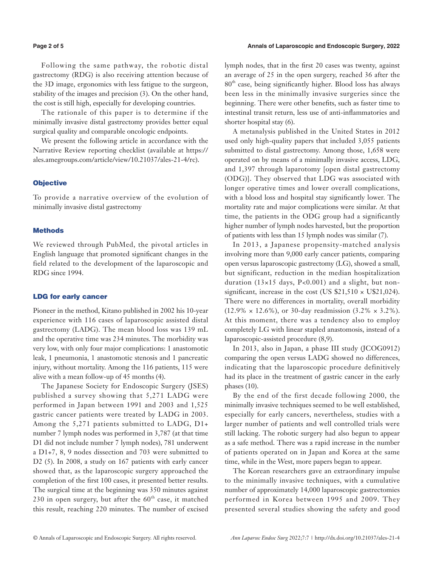Following the same pathway, the robotic distal gastrectomy (RDG) is also receiving attention because of the 3D image, ergonomics with less fatigue to the surgeon, stability of the images and precision (3). On the other hand, the cost is still high, especially for developing countries.

The rationale of this paper is to determine if the minimally invasive distal gastrectomy provides better equal surgical quality and comparable oncologic endpoints.

We present the following article in accordance with the Narrative Review reporting checklist (available at [https://](https://ales.amegroups.com/article/view/10.21037/ales-21-4/rc) [ales.amegroups.com/article/view/10.21037/ales-21-4/rc\)](https://ales.amegroups.com/article/view/10.21037/ales-21-4/rc).

#### **Objective**

To provide a narrative overview of the evolution of minimally invasive distal gastrectomy

## **Methods**

We reviewed through PubMed, the pivotal articles in English language that promoted significant changes in the field related to the development of the laparoscopic and RDG since 1994.

#### LDG for early cancer

Pioneer in the method, Kitano published in 2002 his 10-year experience with 116 cases of laparoscopic assisted distal gastrectomy (LADG). The mean blood loss was 139 mL and the operative time was 234 minutes. The morbidity was very low, with only four major complications: 1 anastomotic leak, 1 pneumonia, 1 anastomotic stenosis and 1 pancreatic injury, without mortality. Among the 116 patients, 115 were alive with a mean follow-up of 45 months (4).

The Japanese Society for Endoscopic Surgery (JSES) published a survey showing that 5,271 LADG were performed in Japan between 1991 and 2003 and 1,525 gastric cancer patients were treated by LADG in 2003. Among the 5,271 patients submitted to LADG, D1+ number 7 lymph nodes was performed in 3,787 (at that time D1 did not include number 7 lymph nodes), 781 underwent a D1+7, 8, 9 nodes dissection and 703 were submitted to D2 (5). In 2008, a study on 167 patients with early cancer showed that, as the laparoscopic surgery approached the completion of the first 100 cases, it presented better results. The surgical time at the beginning was 350 minutes against 230 in open surgery, but after the  $60<sup>th</sup>$  case, it matched this result, reaching 220 minutes. The number of excised lymph nodes, that in the first 20 cases was twenty, against an average of 25 in the open surgery, reached 36 after the 80th case, being significantly higher. Blood loss has always been less in the minimally invasive surgeries since the beginning. There were other benefits, such as faster time to intestinal transit return, less use of anti-inflammatories and shorter hospital stay (6).

A metanalysis published in the United States in 2012 used only high-quality papers that included 3,055 patients submitted to distal gastrectomy. Among those, 1,658 were operated on by means of a minimally invasive access, LDG, and 1,397 through laparotomy [open distal gastrectomy (ODG)]. They observed that LDG was associated with longer operative times and lower overall complications, with a blood loss and hospital stay significantly lower. The mortality rate and major complications were similar. At that time, the patients in the ODG group had a significantly higher number of lymph nodes harvested, but the proportion of patients with less than 15 lymph nodes was similar (7).

In 2013, a Japanese propensity-matched analysis involving more than 9,000 early cancer patients, comparing open versus laparoscopic gastrectomy (LG), showed a small, but significant, reduction in the median hospitalization duration ( $13\times15$  days, P<0.001) and a slight, but nonsignificant, increase in the cost (US  $$21,510 \times U$21,024$ ). There were no differences in mortality, overall morbidity  $(12.9\% \times 12.6\%),$  or 30-day readmission  $(3.2\% \times 3.2\%).$ At this moment, there was a tendency also to employ completely LG with linear stapled anastomosis, instead of a laparoscopic-assisted procedure (8,9).

In 2013, also in Japan, a phase III study (JCOG0912) comparing the open versus LADG showed no differences, indicating that the laparoscopic procedure definitively had its place in the treatment of gastric cancer in the early phases (10).

By the end of the first decade following 2000, the minimally invasive techniques seemed to be well established, especially for early cancers, nevertheless, studies with a larger number of patients and well controlled trials were still lacking. The robotic surgery had also begun to appear as a safe method. There was a rapid increase in the number of patients operated on in Japan and Korea at the same time, while in the West, more papers began to appear.

The Korean researchers gave an extraordinary impulse to the minimally invasive techniques, with a cumulative number of approximately 14,000 laparoscopic gastrectomies performed in Korea between 1995 and 2009. They presented several studies showing the safety and good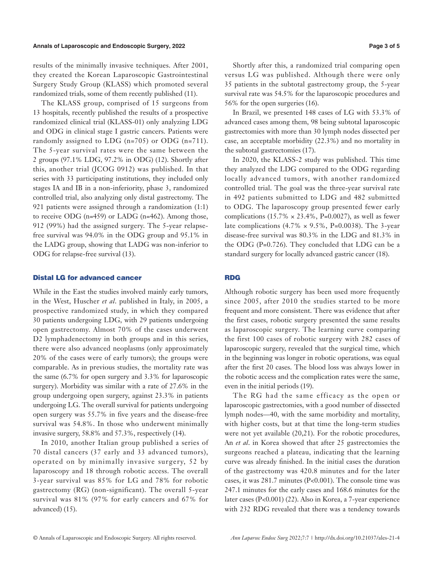#### **Annals of Laparoscopic and Endoscopic Surgery, 2022 Page 3 of 5**

results of the minimally invasive techniques. After 2001, they created the Korean Laparoscopic Gastrointestinal Surgery Study Group (KLASS) which promoted several randomized trials, some of them recently published (11).

The KLASS group, comprised of 15 surgeons from 13 hospitals, recently published the results of a prospective randomized clinical trial (KLASS-01) only analyzing LDG and ODG in clinical stage I gastric cancers. Patients were randomly assigned to LDG (n=705) or ODG (n=711). The 5-year survival rates were the same between the 2 groups (97.1% LDG, 97.2% in ODG) (12). Shortly after this, another trial (JCOG 0912) was published. In that series with 33 participating institutions, they included only stages IA and IB in a non-inferiority, phase 3, randomized controlled trial, also analyzing only distal gastrectomy. The 921 patients were assigned through a randomization (1:1) to receive ODG  $(n=459)$  or LADG  $(n=462)$ . Among those, 912 (99%) had the assigned surgery. The 5-year relapsefree survival was 94.0% in the ODG group and 95.1% in the LADG group, showing that LADG was non-inferior to ODG for relapse-free survival (13).

#### Distal LG for advanced cancer

While in the East the studies involved mainly early tumors, in the West, Huscher *et al*. published in Italy, in 2005, a prospective randomized study, in which they compared 30 patients undergoing LDG, with 29 patients undergoing open gastrectomy. Almost 70% of the cases underwent D2 lymphadenectomy in both groups and in this series, there were also advanced neoplasms (only approximately 20% of the cases were of early tumors); the groups were comparable. As in previous studies, the mortality rate was the same (6.7% for open surgery and 3.3% for laparoscopic surgery). Morbidity was similar with a rate of 27.6% in the group undergoing open surgery, against 23.3% in patients undergoing LG. The overall survival for patients undergoing open surgery was 55.7% in five years and the disease-free survival was 54.8%. In those who underwent minimally invasive surgery, 58.8% and 57.3%, respectively (14).

In 2010, another Italian group published a series of 70 distal cancers (37 early and 33 advanced tumors), operated on by minimally invasive surgery, 52 by laparoscopy and 18 through robotic access. The overall 3-year survival was 85% for LG and 78% for robotic gastrectomy (RG) (non-significant). The overall 5-year survival was 81% (97% for early cancers and 67% for advanced) (15).

Shortly after this, a randomized trial comparing open versus LG was published. Although there were only 35 patients in the subtotal gastrectomy group, the 5-year survival rate was 54.5% for the laparoscopic procedures and 56% for the open surgeries (16).

In Brazil, we presented 148 cases of LG with 53.3% of advanced cases among them, 98 being subtotal laparoscopic gastrectomies with more than 30 lymph nodes dissected per case, an acceptable morbidity (22.3%) and no mortality in the subtotal gastrectomies (17).

In 2020, the KLASS-2 study was published. This time they analyzed the LDG compared to the ODG regarding locally advanced tumors, with another randomized controlled trial. The goal was the three-year survival rate in 492 patients submitted to LDG and 482 submitted to ODG. The laparoscopy group presented fewer early complications (15.7%  $\times$  23.4%, P=0.0027), as well as fewer late complications  $(4.7\% \times 9.5\%, P=0.0038)$ . The 3-year disease-free survival was 80.3% in the LDG and 81.3% in the ODG (P=0.726). They concluded that LDG can be a standard surgery for locally advanced gastric cancer (18).

# RDG

Although robotic surgery has been used more frequently since 2005, after 2010 the studies started to be more frequent and more consistent. There was evidence that after the first cases, robotic surgery presented the same results as laparoscopic surgery. The learning curve comparing the first 100 cases of robotic surgery with 282 cases of laparoscopic surgery, revealed that the surgical time, which in the beginning was longer in robotic operations, was equal after the first 20 cases. The blood loss was always lower in the robotic access and the complication rates were the same, even in the initial periods (19).

The RG had the same efficacy as the open or laparoscopic gastrectomies, with a good number of dissected lymph nodes—40, with the same morbidity and mortality, with higher costs, but at that time the long-term studies were not yet available (20,21). For the robotic procedures, An *et al*. in Korea showed that after 25 gastrectomies the surgeons reached a plateau, indicating that the learning curve was already finished. In the initial cases the duration of the gastrectomy was 420.8 minutes and for the later cases, it was 281.7 minutes (P<0.001). The console time was 247.1 minutes for the early cases and 168.6 minutes for the later cases (P<0.001) (22). Also in Korea, a 7-year experience with 232 RDG revealed that there was a tendency towards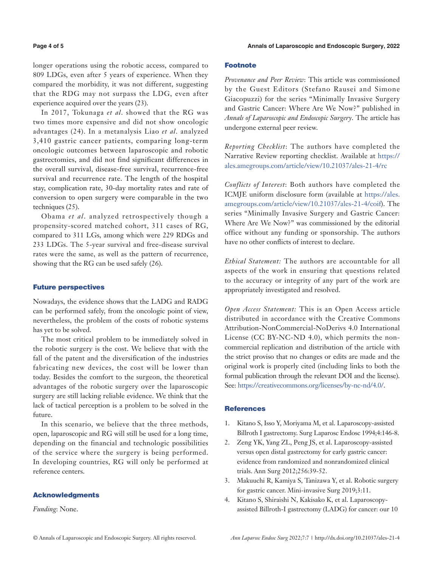longer operations using the robotic access, compared to 809 LDGs, even after 5 years of experience. When they compared the morbidity, it was not different, suggesting that the RDG may not surpass the LDG, even after experience acquired over the years (23).

In 2017, Tokunaga *et al*. showed that the RG was two times more expensive and did not show oncologic advantages (24). In a metanalysis Liao *et al*. analyzed 3,410 gastric cancer patients, comparing long-term oncologic outcomes between laparoscopic and robotic gastrectomies, and did not find significant differences in the overall survival, disease-free survival, recurrence-free survival and recurrence rate. The length of the hospital stay, complication rate, 30-day mortality rates and rate of conversion to open surgery were comparable in the two techniques (25).

Obama *et al*. analyzed retrospectively though a propensity-scored matched cohort, 311 cases of RG, compared to 311 LGs, among which were 229 RDGs and 233 LDGs. The 5-year survival and free-disease survival rates were the same, as well as the pattern of recurrence, showing that the RG can be used safely (26).

# Future perspectives

Nowadays, the evidence shows that the LADG and RADG can be performed safely, from the oncologic point of view, nevertheless, the problem of the costs of robotic systems has yet to be solved.

The most critical problem to be immediately solved in the robotic surgery is the cost. We believe that with the fall of the patent and the diversification of the industries fabricating new devices, the cost will be lower than today. Besides the comfort to the surgeon, the theoretical advantages of the robotic surgery over the laparoscopic surgery are still lacking reliable evidence. We think that the lack of tactical perception is a problem to be solved in the future.

In this scenario, we believe that the three methods, open, laparoscopic and RG will still be used for a long time, depending on the financial and technologic possibilities of the service where the surgery is being performed. In developing countries, RG will only be performed at reference centers.

# Acknowledgments

*Funding*: None.

## Footnote

*Provenance and Peer Review*: This article was commissioned by the Guest Editors (Stefano Rausei and Simone Giacopuzzi) for the series "Minimally Invasive Surgery and Gastric Cancer: Where Are We Now?" published in *Annals of Laparoscopic and Endoscopic Surgery*. The article has undergone external peer review.

*Reporting Checklist*: The authors have completed the Narrative Review reporting checklist. Available at [https://](https://ales.amegroups.com/article/view/10.21037/ales-21-4/rc) [ales.amegroups.com/article/view/10.21037/ales-21-4/rc](https://ales.amegroups.com/article/view/10.21037/ales-21-4/rc)

*Conflicts of Interest*: Both authors have completed the ICMJE uniform disclosure form (available at [https://ales.](https://ales.amegroups.com/article/view/10.21037/ales-21-4/coif) [amegroups.com/article/view/10.21037/ales-21-4/coif\)](https://ales.amegroups.com/article/view/10.21037/ales-21-4/coif). The series "Minimally Invasive Surgery and Gastric Cancer: Where Are We Now?" was commissioned by the editorial office without any funding or sponsorship. The authors have no other conflicts of interest to declare.

*Ethical Statement:* The authors are accountable for all aspects of the work in ensuring that questions related to the accuracy or integrity of any part of the work are appropriately investigated and resolved.

*Open Access Statement:* This is an Open Access article distributed in accordance with the Creative Commons Attribution-NonCommercial-NoDerivs 4.0 International License (CC BY-NC-ND 4.0), which permits the noncommercial replication and distribution of the article with the strict proviso that no changes or edits are made and the original work is properly cited (including links to both the formal publication through the relevant DOI and the license). See: [https://creativecommons.org/licenses/by-nc-nd/4.0/.](https://creativecommons.org/licenses/by-nc-nd/4.0/)

#### **References**

- 1. Kitano S, Isso Y, Moriyama M, et al. Laparoscopy-assisted Billroth I gastrectomy. Surg Laparosc Endosc 1994;4:146-8.
- 2. Zeng YK, Yang ZL, Peng JS, et al. Laparoscopy-assisted versus open distal gastrectomy for early gastric cancer: evidence from randomized and nonrandomized clinical trials. Ann Surg 2012;256:39-52.
- 3. Makuuchi R, Kamiya S, Tanizawa Y, et al. Robotic surgery for gastric cancer. Mini-invasive Surg 2019;3:11.
- 4. Kitano S, Shiraishi N, Kakisako K, et al. Laparoscopyassisted Billroth-I gastrectomy (LADG) for cancer: our 10